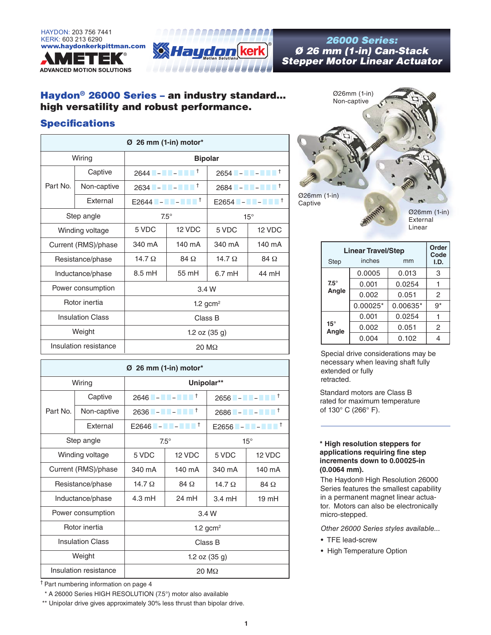



# *Ø 26 mm (1-in) Can-Stack Stepper Motor Linear Actuator*

### Haydon® 26000 Series – an industry standard... high versatility and robust performance.

### **Specifications**

| 26 mm (1-in) motor*<br>Ø |             |                                         |            |                             |            |  |  |
|--------------------------|-------------|-----------------------------------------|------------|-----------------------------|------------|--|--|
| Wiring                   |             | <b>Bipolar</b>                          |            |                             |            |  |  |
| Part No.                 | Captive     |                                         |            | $2654$ - - - $\blacksquare$ |            |  |  |
|                          | Non-captive | 2634 - A - A - A $\bullet$ <sup>†</sup> |            | $2684$ - - - $^{-1}$        |            |  |  |
|                          | External    | $E2644$ $        +$                     |            | $E2654$ $       +$          |            |  |  |
| Step angle               |             | $7.5^\circ$                             |            | $15^{\circ}$                |            |  |  |
| Winding voltage          |             | 5 VDC                                   | 12 VDC     | 5 VDC                       | 12 VDC     |  |  |
| Current (RMS)/phase      |             | 340 mA                                  | 140 mA     | 340 mA                      | 140 mA     |  |  |
| Resistance/phase         |             | $14.7 \Omega$                           | $84\Omega$ | 14.7 $\Omega$               | $84\Omega$ |  |  |
| Inductance/phase         |             | $8.5 \text{ mH}$                        | 55 mH      | $6.7 \text{ mH}$            | 44 mH      |  |  |
| Power consumption        |             | 3.4 W                                   |            |                             |            |  |  |
| Rotor inertia            |             | 1.2 gcm <sup>2</sup>                    |            |                             |            |  |  |
| <b>Insulation Class</b>  |             | Class B                                 |            |                             |            |  |  |
| Weight                   |             | 1.2 oz $(35 g)$                         |            |                             |            |  |  |
| Insulation resistance    |             | $20 \text{ M}\Omega$                    |            |                             |            |  |  |

| $\varnothing$ 26 mm (1-in) motor* |             |                                                        |            |                                                                                                                      |            |  |  |  |
|-----------------------------------|-------------|--------------------------------------------------------|------------|----------------------------------------------------------------------------------------------------------------------|------------|--|--|--|
| Wiring                            |             | Unipolar**                                             |            |                                                                                                                      |            |  |  |  |
| Part No.                          | Captive     | 2646 $        +$                                       |            |                                                                                                                      |            |  |  |  |
|                                   | Non-captive | 2636 <b>T</b> – <b>N H</b> – <b>N H</b> H <sup>†</sup> |            | $2686 - 2$                                                                                                           |            |  |  |  |
|                                   | External    | $E2646$ $        +$                                    |            | $E2656$ $\blacksquare$ – $\blacksquare$ – $\blacksquare$ $\blacksquare$ $\blacksquare$ $\blacksquare$ $\blacksquare$ |            |  |  |  |
| Step angle                        |             | $7.5^\circ$                                            |            | $15^{\circ}$                                                                                                         |            |  |  |  |
| Winding voltage                   |             | 5 VDC                                                  | 12 VDC     | 5 VDC                                                                                                                | 12 VDC     |  |  |  |
| Current (RMS)/phase               |             | 340 mA                                                 | 140 mA     | 340 mA                                                                                                               | 140 mA     |  |  |  |
| Resistance/phase                  |             | $14.7 \Omega$                                          | $84\Omega$ | $14.7 \Omega$                                                                                                        | $84\Omega$ |  |  |  |
| Inductance/phase                  |             | 4.3 mH                                                 | 24 mH      | $3.4 \text{ mH}$                                                                                                     | 19 mH      |  |  |  |
| Power consumption                 |             | 3.4 W                                                  |            |                                                                                                                      |            |  |  |  |
| Rotor inertia                     |             | 1.2 gcm <sup>2</sup>                                   |            |                                                                                                                      |            |  |  |  |
| <b>Insulation Class</b>           |             | Class B                                                |            |                                                                                                                      |            |  |  |  |
| Weight                            |             | 1.2 oz $(35 g)$                                        |            |                                                                                                                      |            |  |  |  |
| Insulation resistance             |             | $20 \text{ M}\Omega$                                   |            |                                                                                                                      |            |  |  |  |

† Part numbering information on page 4

\*\* A 26000 Series HIGH RESOLUTION (7.5°) motor also available

\*\* Unipolar drive gives approximately 30% less thrust than bipolar drive.



| <b>Linear Travel/Step</b> | <b>Order</b><br>Code |          |                |
|---------------------------|----------------------|----------|----------------|
| <b>Step</b>               | inches               | mm       | I.D.           |
|                           | 0.0005               | 0.013    | 3              |
| $7.5^\circ$               | 0.001                | 0.0254   |                |
| Angle                     | 0.002                | 0.051    | $\overline{c}$ |
|                           | $0.00025*$           | 0.00635* | $9*$           |
|                           | 0.001                | 0.0254   |                |
| $15^\circ$<br>Angle       | 0.002                | 0.051    | 2              |
|                           | 0.004                | 0.102    | 4              |

Special drive considerations may be necessary when leaving shaft fully extended or fully retracted.

Standard motors are Class B rated for maximum temperature of 130° C (266° F).

#### **\* High resolution steppers for applications requiring fine step increments down to 0.00025-in (0.0064 mm).**

The Haydon® High Resolution 26000 Series features the smallest capability in a permanent magnet linear actuator. Motors can also be electronically micro-stepped.

- *Other 26000 Series styles available...*
- TFE lead-screw
- High Temperature Option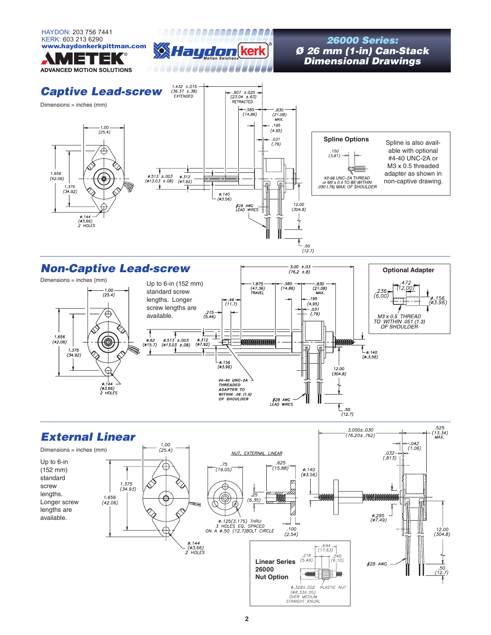HAYDON: 203 756 7441 8 A A A A A A A A A A A A A A A A A A KERK: 603 213 6290<br>www.haydonkerkpittman.com سم 26000 Series:<br>**Wild Laugharn (kerk) Mars 26 mm (1-in) Can-***Ø 26 mm (1-in) Can-Stack Dimensional Drawings* **ADVANCED MOTION SOLUTIONS** 1.432 ±.015<br>(36.37 ±.38)<br>EXTENDED *Captive Lead-screw* ⊢.907 ±.025-<br>(23.04 ±.63)<br>RETRACTED Dimensions = inches (mm)  $-585 -$ <br>(14.86) — .830 —<br>(21.08)<br>мах. .195  $-1.00$ <br>(25.4)  $(4.95)$ **Spline Options**  $.031$ Spline is also avail- $(.79)$ able with optional 150.<br>(3.81) #4-40 UNC-2A or M3 x 0.5 threaded  $1.656$ <br>(42.06) adapter as shown in  $\begin{array}{ccc}\n & & \text{---} \\
\varphi.513 \pm .003 & \varphi.312 \\
(\varphi 13.03 \pm .08) & (\varphi 7.92)\n\end{array}$ #2-56 UNC–2A THREAD<br>or M2 x 0.4 TO BE WITHIN<br>.030 (.76) MAX. OF SHOULDER non-captive drawing.  $\sqrt{n}$ t 1.375<br>(34.92)  $\frac{\emptyset}{\emptyset}$ , 140<br>( $\emptyset$ 3.56)  $12.00$ <br> $(304.8)$ #28 AWG<br>LEAD WIF  $0.144 -$ <br>( $03.66$ )<br>2 HOLES M  $\sum_{\substack{.50 \ (12.7)}}$ 

## *Non-Captive Lead-screw*



 $-3.00 \pm .03$ <br>(76.2 ±.8)

**Optional Adapter**

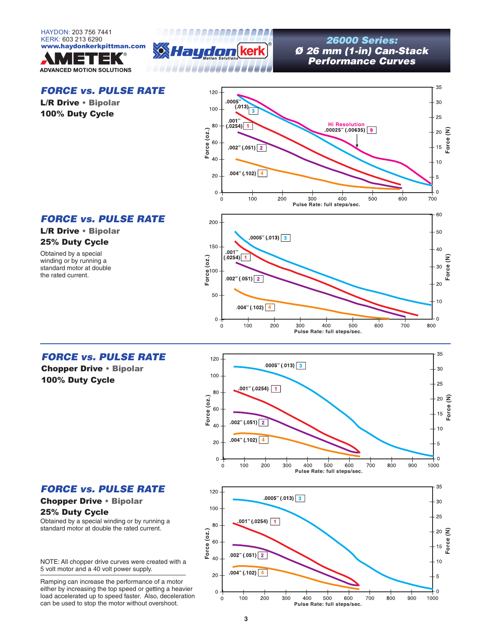



# *Ø 26 mm (1-in) Can-Stack Performance Curves*

### *FORCE vs. PULSE RATE*

L/R Drive • Bipolar 100% Duty Cycle



### *FORCE vs. PULSE RATE*

#### L/R Drive • Bipolar 25% Duty Cycle

Obtained by a special winding or by running a standard motor at double the rated current.



### *FORCE vs. PULSE RATE*

Chopper Drive • Bipolar 100% Duty Cycle







### 25% Duty Cycle

Obtained by a special winding or by running a standard motor at double the rated current.

NOTE: All chopper drive curves were created with a 5 volt motor and a 40 volt power supply.

Ramping can increase the performance of a motor either by increasing the top speed or getting a heavier load accelerated up to speed faster. Also, deceleration can be used to stop the motor without overshoot.

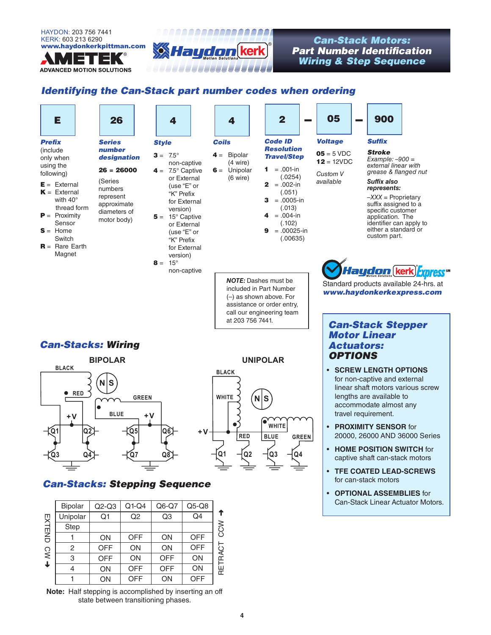

**ADVANCED MOTION SOLUTIONS** 

### www.hamartan.com **Can-Stack Motors:**<br>Part Number Identifica *Part Number Identification Wiring & Step Sequence*

### *Identifying the Can-Stack part number codes when ordering*

an an an Angel

\_\_\_\_\_\_\_\_\_\_\_\_\_\_\_\_\_\_\_\_



**4**

**Note:** Half stepping is accomplished by inserting an off state between transitioning phases.

**OFF OFF**  **OFF** ON

**ON OFF** 

4 1

➜

**ON ON**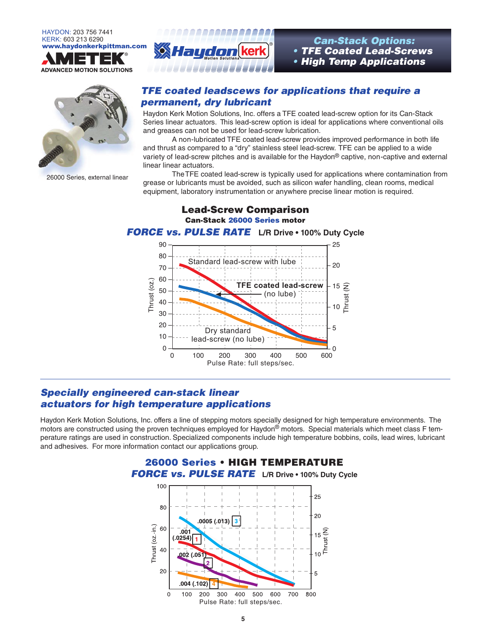





26000 Series, external linear



• *TFE Coated Lead-Screws* • *High Temp Applications*

### *TFE coated leadscews for applications that require a permanent, dry lubricant*

Haydon Kerk Motion Solutions, Inc. offers a TFE coated lead-screw option for its Can-Stack Series linear actuators. This lead-screw option is ideal for applications where conventional oils and greases can not be used for lead-screw lubrication.

 A non-lubricated TFE coated lead-screw provides improved performance in both life and thrust as compared to a "dry" stainless steel lead-screw. TFE can be applied to a wide variety of lead-screw pitches and is available for the Haydon® captive, non-captive and external linear linear actuators.

 The TFE coated lead-screw is typically used for applications where contamination from grease or lubricants must be avoided, such as silicon wafer handling, clean rooms, medical equipment, laboratory instrumentation or anywhere precise linear motion is required.



Lead-Screw Comparison

## **Specially engineered can-stack linear** *actuators for high temperature applications* 250 –

Haydon Kerk Motion Solutions, Inc. offers a line of stepping motors specially designed for high temperature environments. The motors are constructed using the proven techniques employed for Haydon® motors. Special materials which meet class F temperature ratings are used in construction. Specialized components include high temperature bobbins, coils, lead wires, lubricant and adhesives. For more information contact our applications group.<br>**26000 Series • HIGH TEMP** and adhesives. For more information contact our applications group. 150 – ا ا ا<br>أ u<br>on<br>rm



#### **5**